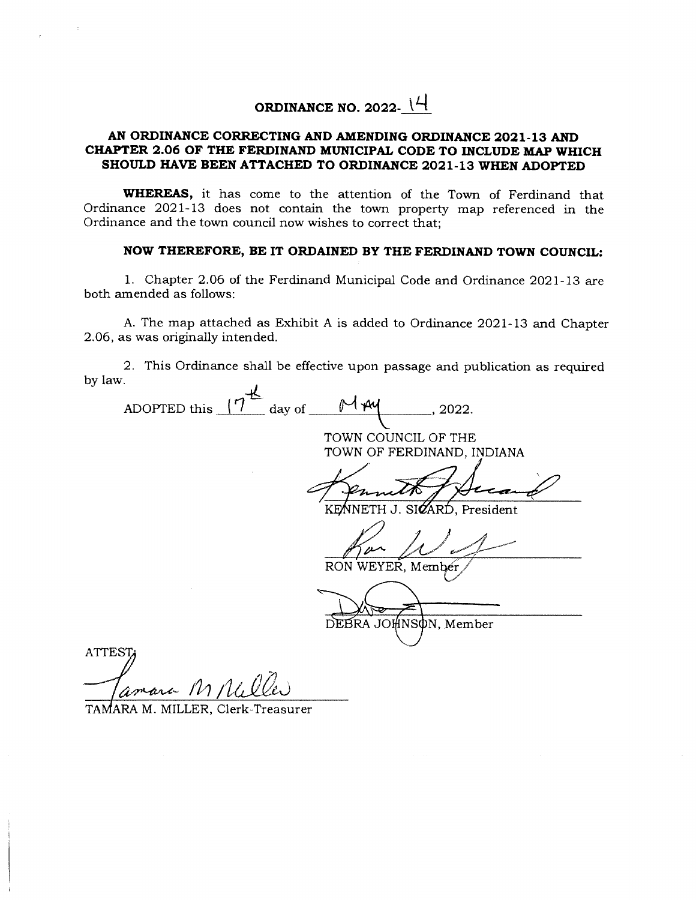## **ORDINANCE NO. 2022-**  $\mathcal{H}$

## **AN ORDINANCE CORRECTING AND AMENDING ORDINANCE 2021-13 AND CHAPTER 2.06 OF THE FERDINAND MUNICIPAL CODE TO INCLUDE MAP WHICH SHOULD HAVE BEEN ATTACHED TO ORDINANCE 2021-13 WHEN ADOPTED**

**WHEREAS,** it has come to the attention of the Town of Ferdinand that Ordinance 2021-13 does not contain the town property map referenced in the Ordinance and the town council now wishes to correct that;

## **NOW THEREFORE, BE IT ORDAINED BY THE FERDINAND TOWN COUNCIL:**

1. Chapter 2.06 of the Ferdinand Municipal Code and Ordinance 2021-13 are both amended as follows:

A. The map attached as Exhibit A is added to Ordinance 2021-13 and Chapter 2.06, as was originally intended.

2. This Ordinance shall be effective upon passage and publícation as required by law.

| ADOPTED this<br>day of | 1 pu<br>2022.                |
|------------------------|------------------------------|
|                        | TOWN COUNCIL OF THE          |
|                        | TOWN OF FERDINAND, INDIANA   |
|                        |                              |
|                        |                              |
|                        | KENNETH J. SIZARD, President |
|                        |                              |
|                        | RON WEYER, Member            |
|                        |                              |
|                        |                              |
|                        | DEBRA JOHNSON, Member        |
|                        |                              |
| <b>ATTEST</b>          |                              |
|                        |                              |
| amara M Neller         |                              |

TAMARA M. MILLER, Clerk-Treasurer